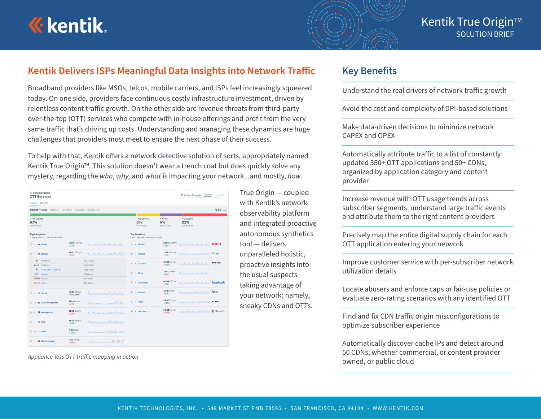



### **Kentik Delivers ISPs Meaningful Data Insights into Network Traffic**

Broadband providers like MSOs, telcos, mobile carriers, and ISPs feel increasingly squeezed today. On one side, providers face continuous costly infrastructure investment, driven by relentless content traffic growth. On the other side are revenue threats from third-party over-the-top (OTT) services who compete with in-house offerings and profit from the very same traffic that's driving up costs. Understanding and managing these dynamics are huge challenges that providers must meet to ensure the next phase of their success.

To help with that, Kentik offers a network detective solution of sorts, appropriately named Kentik True Origin™. This solution doesn't wear a trench coat but does quickly solve any mystery, regarding the *who*, *why,* and *what* is impacting your network...and mostly, *how*.

| C SERVICE PROVIDER<br><b>OTT Services</b><br>Overview Capacity      |                                                                   |                                                                   |                                  | Time Range<br>Last Week<br>Configure Thresholds | 选一<br>٠     |
|---------------------------------------------------------------------|-------------------------------------------------------------------|-------------------------------------------------------------------|----------------------------------|-------------------------------------------------|-------------|
| <b>Total OTT Traffic</b>                                            | 625 Services ( 397 Providers ( 31 Categories Last update: Jul 8th |                                                                   |                                  |                                                 | $1.12$ mass |
| · Fully Classified<br>67%<br>752.57 Gblts/s                         |                                                                   | · Provider-Only<br>6%<br>63.64 Gblts/s                            | · Pending<br>5%<br>59.92 Gbits/s | · Unclassified<br>22%<br>246.36 Gblts/s         |             |
| <b>Top Categories</b><br>Expand a category to view Provider details |                                                                   | <b>Top Providers</b><br>Expand a Provider to view service details |                                  |                                                 |             |
| 1 v IIII Video                                                      | <b>582.01 Gbits/s</b><br>MANNA<br>$-4%$                           | $1 \times$ Netflix                                                | 218.05 Gbits/s<br>$-0.05$        | 1111111 NETFLIX                                 |             |
| $2 \wedge \Box 3$ Gaming                                            | 86.47 Gbits/s<br>$-156$                                           | $2 \times$<br>Google                                              | <b>137.52 Gbits/s</b><br>$-156$  | <b>NOCKOVIA Google</b>                          |             |
| ۰<br>Playstation<br>WARDS: XBOX Live                                | 38.27 Gbits/s<br>22.29 Gbitsis                                    | $~\vee~$ Amazon<br>$\overline{3}$                                 | 90.30 Gbits/s<br>$-18%$          | arraras.                                        | amazon      |
| ۰<br>Steam Games Download<br><b>KONT</b><br>Blizzard                | 21.55 Gblts/s<br>7.13 Gblts/s                                     | Hulu<br>$\Delta$<br>$\sim$                                        | 72.65 Gbits/s<br>98.5%           | $A \wedge A \wedge A$                           |             |
| Quando Nintendo<br><b>BRIDGE Robley</b>                             | 4.90 Gbits/s<br>4.22 Gbits/s                                      | Facebook<br>$8$<br>$\mathbf{v}$                                   | 48.34 Gbits/s<br>$\sim 3\%$      | 1 month tacebook                                |             |
| $3 \times 28$ Social                                                | 42.90 Gbits/s<br>monder<br>- No Change                            | $6 - 4$<br><b>Disney</b>                                          | 43.41 Gbits/s<br>$-7%$           | 1 month 1 day                                   |             |
| Software Updates<br>$4 - 4$                                         | <b>17.83 Gbits/s</b><br>marin<br>$- 7%$                           | $7 - 4$<br>Sony                                                   | 38.30 Gbits/s<br>$-00%$          | n solve                                         | <b>SONY</b> |
| <b>B</b> Newsgroups<br>(5)<br>$\checkmark$                          | <b>16.92 Gbits/s</b><br>no marshall<br>$v_2 = 456$                | Microsoft<br>$\sim$                                               | <b>25,44 Gbits/s</b><br>$-28%$   | Many Nome                                       | Microsoft   |
| <b>D</b> Web<br>$6 - v$                                             | 12.53 Gbits/s<br>$-9%$                                            |                                                                   |                                  |                                                 |             |
| $7 - 4$<br>$\times$ Adult                                           | 6.41 Gbits/s<br>Monumental a<br>$-23%$                            |                                                                   |                                  |                                                 |             |
| $8 \times \Box$ Conferencing                                        | 4.22 Gbits/s<br>$h \wedge \ldots \wedge h$<br>$-12%$              |                                                                   |                                  |                                                 |             |

True Origin — coupled with Kentik's network observability platform and integrated proactive autonomous synthetics tool — delivers unparalleled holistic, proactive insights into the usual suspects taking advantage of your network: namely, sneaky CDNs and OTTs.

#### **Key Benefits**

Understand the real drivers of network traffic growth

Avoid the cost and complexity of DPI-based solutions

Make data-driven decisions to minimize network CAPEX and OPEX

Automatically attribute traffic to a list of constantly updated 350+ OTT applications and 50+ CDNs, organized by application category and content provider

Increase revenue with OTT usage trends across subscriber segments, understand large traffic events and attribute them to the right content providers

Precisely map the entire digital supply chain for each OTT application entering your network

Improve customer service with per-subscriber network utilization details

Locate abusers and enforce caps or fair-use policies or evaluate zero-rating scenarios with any identified OTT

Find and fix CDN traffic origin misconfigurations to optimize subscriber experience

Automatically discover cache IPs and detect around 50 CDNs, whether commercial, or content provider Appliance-less OTT traffic mapping in action<br> **OWNED CONS, WILLIE CONN**<br> **OWNED, OF public cloud**